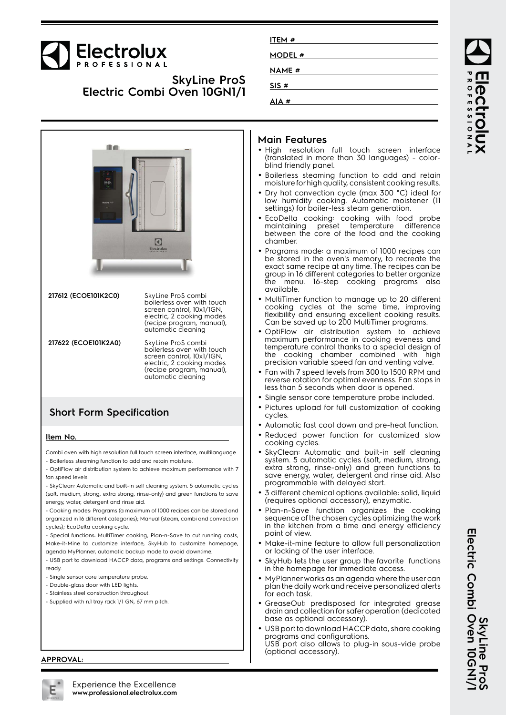# **Electrolux**

## **SkyLine ProS Electric Combi Oven 10GN1/1**

| ITEM #        |  |
|---------------|--|
| <b>MODEL#</b> |  |
| <b>NAME</b> # |  |
| SIS#          |  |
| AIA #         |  |
|               |  |



#### **Main Features**

- High resolution full touch screen interface (translated in more than 30 languages) - colorblind friendly panel.
- Boilerless steaming function to add and retain moisture for high quality, consistent cooking results.
- Dry hot convection cycle (max 300 °C) ideal for low humidity cooking. Automatic moistener (11 settings) for boiler-less steam generation.
- EcoDelta cooking: cooking with food probe maintaining preset temperature difference between the core of the food and the cooking
- Programs mode: a maximum of 1000 recipes can be stored in the oven's memory, to recreate the exact same recipe at any time. The recipes can be group in 16 different categories to better organize the menu. 16-step cooking programs also
- MultiTimer function to manage up to 20 different cooking cycles at the same time, improving flexibility and ensuring excellent cooking results. Can be saved up to 200 MultiTimer programs.
- OptiFlow air distribution system to achieve maximum performance in cooking eveness and temperature control thanks to a special design of the cooking chamber combined with high precision variable speed fan and venting valve.
- Fan with 7 speed levels from 300 to 1500 RPM and reverse rotation for optimal evenness. Fan stops in less than 5 seconds when door is opened.
- Single sensor core temperature probe included.
- Pictures upload for full customization of cooking
- Automatic fast cool down and pre-heat function.
- Reduced power function for customized slow cooking cycles.
- SkyClean: Automatic and built-in self cleaning system. 5 automatic cycles (soft, medium, strong, extra strong, rinse-only) and green functions to save energy, water, detergent and rinse aid. Also programmable with delayed start.
- 3 different chemical options available: solid, liquid (requires optional accessory), enzymatic.
- Plan-n-Save function organizes the cooking sequence of the chosen cycles optimizing the work in the kitchen from a time and energy efficiency point of view.
- Make-it-mine feature to allow full personalization or locking of the user interface.
- SkyHub lets the user group the favorite functions in the homepage for immediate access.
- MyPlanner works as an agenda where the user can plan the daily work and receive personalized alerts for each task.
- GreaseOut: predisposed for integrated grease drain and collection for safer operation (dedicated base as optional accessory).
- • USB port to download HACCP data, share cooking programs and configurations. USB port also allows to plug-in sous-vide probe (optional accessory).

**APPROVAL:**



SkyLine Pro<br>Electric Combi Oven 10GN1/ **Electric Combi Oven 10GN1/1 SkyLine ProS**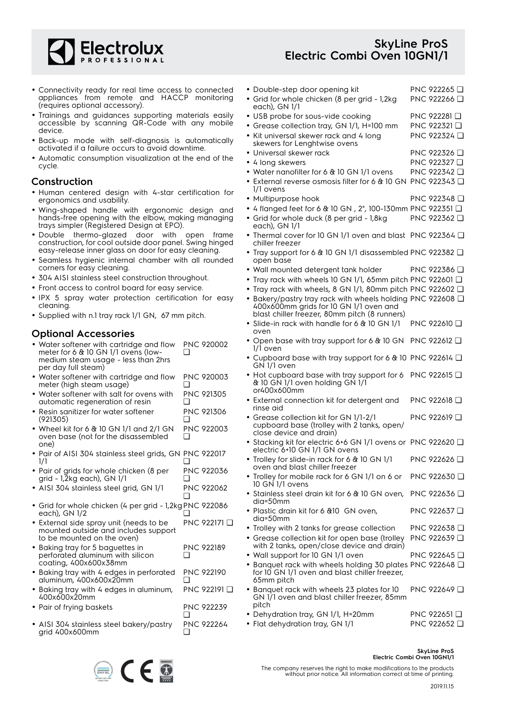

## **SkyLine ProS Electric Combi Oven 10GN1/1**

- Connectivity ready for real time access to connected appliances from remote and HACCP monitoring (requires optional accessory).
- Trainings and guidances supporting materials easily accessible by scanning QR-Code with any mobile device.
- Back-up mode with self-diagnosis is automatically activated if a failure occurs to avoid downtime.
- Automatic consumption visualization at the end of the cycle.

#### **Construction**

- Human centered design with 4-star certification for ergonomics and usability.
- Wing-shaped handle with ergonomic design and hands-free opening with the elbow, making managing trays simpler (Registered Design at EPO).
- Double thermo-glazed door with open frame construction, for cool outside door panel. Swing hinged easy-release inner glass on door for easy cleaning.
- Seamless hygienic internal chamber with all rounded corners for easy cleaning.
- 304 AISI stainless steel construction throughout.
- Front access to control board for easy service.
- IPX 5 spray water protection certification for easy cleaning.
- Supplied with n.1 tray rack 1/1 GN, 67 mm pitch.

### **Optional Accessories**

| • Water softener with cartridge and flow | <b>PNC 920002</b> |
|------------------------------------------|-------------------|
| meter for 6 & 10 GN 1/1 ovens (low-      |                   |
| medium steam usage - less than 2hrs      |                   |
| per day full steam)                      |                   |

- Water softener with cartridge and flow meter (high steam usage) PNC 920003  $\Box$
- Water softener with salt for ovens with automatic regeneration of resin PNC 921305 ❑
- • Resin sanitizer for water softener (921305) PNC 921306 ❑
- Wheel kit for 6 & 10 GN 1/1 and 2/1 GN oven base (not for the disassembled one) PNC 922003  $\Box$
- Pair of AISI 304 stainless steel grids, GN PNC 922017 1/1  $\Box$
- Pair of grids for whole chicken (8 per grid - 1,2kg each), GN 1/1 PNC 922036 ❑
- AISI 304 stainless steel grid, GN 1/1 PNC 922062  $\Box$
- Grid for whole chicken (4 per grid 1,2kg PNC 922086 each), GN 1/2 ❑
- External side spray unit (needs to be mounted outside and includes support to be mounted on the oven) PNC 922171 ❑
- Baking tray for 5 baguettes in perforated aluminum with silicon coating, 400x600x38mm PNC 922189  $\Box$
- Baking tray with 4 edges in perforated aluminum, 400x600x20mm PNC 922190 ❑
- Baking tray with 4 edges in aluminum, 400x600x20mm PNC 922191 ❑ • Pair of frying baskets PNC 922239
- 
- AISI 304 stainless steel bakery/pastry grid 400x600mm PNC 922264 ❑



❑

| • Double-step door opening kit                                                                                                                        | PNC 922265 <b>□</b>                      |
|-------------------------------------------------------------------------------------------------------------------------------------------------------|------------------------------------------|
| · Grid for whole chicken (8 per grid - 1,2kg<br>each), GN 1/1                                                                                         | PNC 922266 Q                             |
| • USB probe for sous-vide cooking                                                                                                                     | PNC 922281 <b>□</b>                      |
| • Grease collection tray, GN 1/1, H=100 mm                                                                                                            | PNC 922321 □                             |
| • Kit universal skewer rack and 4 long<br>skewers for Lenghtwise ovens                                                                                | PNC 922324 □                             |
| · Universal skewer rack                                                                                                                               | PNC 922326 □                             |
| • 4 long skewers                                                                                                                                      | PNC 922327 □                             |
| • Water nanofilter for 6 & 10 GN 1/1 ovens                                                                                                            | PNC 922342 <b>□</b>                      |
| • External reverse osmosis filter for 6 & 10 GN PNC 922343 □<br>1/1 ovens                                                                             |                                          |
| • Multipurpose hook                                                                                                                                   | PNC 922348 <del>□</del>                  |
| • 4 flanged feet for 6 & 10 GN, 2", 100-130mm PNC 922351 □                                                                                            |                                          |
| · Grid for whole duck (8 per grid - 1,8kg                                                                                                             | PNC 922362 □                             |
| each), GN 1/1<br>• Thermal cover for 10 GN 1/1 oven and blast PNC 922364 Q                                                                            |                                          |
| chiller freezer<br>• Tray support for 6 & 10 GN 1/1 disassembled PNC 922382 Q                                                                         |                                          |
| open base                                                                                                                                             |                                          |
| • Wall mounted detergent tank holder                                                                                                                  | PNC 922386 <b>□</b>                      |
| • Tray rack with wheels 10 GN 1/1, 65mm pitch PNC 922601 Q                                                                                            |                                          |
| • Tray rack with wheels, 8 GN 1/1, 80mm pitch PNC 922602 Q                                                                                            |                                          |
| • Bakery/pastry tray rack with wheels holding PNC 922608 Q<br>400x600mm grids for 10 GN 1/1 oven and<br>blast chiller freezer, 80mm pitch (8 runners) |                                          |
| • Slide-in rack with handle for 6 & 10 GN 1/1<br>oven                                                                                                 | PNC 922610 $\Box$                        |
| • Open base with tray support for 6 & 10 GN<br>1/1 oven                                                                                               | PNC 922612 <b>□</b>                      |
| • Cupboard base with tray support for 6 & 10 PNC 922614 Q<br>GN 1/1 oven                                                                              |                                          |
| • Hot cupboard base with tray support for 6<br>& 10 GN 1/1 oven holding GN 1/1                                                                        | PNC 922615 <b>□</b>                      |
| or400x600mm<br>• External connection kit for detergent and                                                                                            | PNC 922618 <b>□</b>                      |
| rinse aid<br>· Grease collection kit for GN 1/1-2/1                                                                                                   | PNC 922619 $\Box$                        |
| cupboard base (trolley with 2 tanks, open/<br>close device and drain)                                                                                 |                                          |
| • Stacking kit for electric 6+6 GN 1/1 ovens or PNC 922620 Q<br>electric 6+10 GN 1/1 GN ovens                                                         |                                          |
| • Trolley for slide-in rack for 6 & 10 GN 1/1<br>oven and blast chiller freezer                                                                       | PNC 922626 □                             |
| • Trolley for mobile rack for 6 GN 1/1 on 6 or<br>10 GN 1/1 ovens                                                                                     | PNC 922630 <del>□</del>                  |
| • Stainless steel drain kit for 6 & 10 GN oven,<br>dia=50mm                                                                                           | PNC 922636 <b>□</b>                      |
| • Plastic drain kit for 6 & 10 GN oven,                                                                                                               | PNC 922637 $\Box$                        |
| dia=50mm<br>• Trolley with 2 tanks for grease collection                                                                                              | PNC 922638 <b>□</b>                      |
| • Grease collection kit for open base (trolley                                                                                                        |                                          |
| with 2 tanks, open/close device and drain)                                                                                                            | PNC 922639 ❑                             |
| • Wall support for 10 GN 1/1 oven                                                                                                                     | PNC 922645 <b>□</b>                      |
| • Banquet rack with wheels holding 30 plates PNC 922648 $\Box$<br>for 10 GN 1/1 oven and blast chiller freezer,<br>65mm pitch                         |                                          |
| · Banquet rack with wheels 23 plates for 10<br>GN 1/1 oven and blast chiller freezer, 85mm                                                            | PNC 922649 ❑                             |
| pitch                                                                                                                                                 |                                          |
| • Dehydration tray, GN 1/1, H=20mm<br>• Flat dehydration tray, GN 1/1                                                                                 | PNC 922651 $\Box$<br>PNC 922652 <b>□</b> |
|                                                                                                                                                       |                                          |

**SkyLine ProS Electric Combi Oven 10GN1/1**

The company reserves the right to make modifications to the products without prior notice. All information correct at time of printing.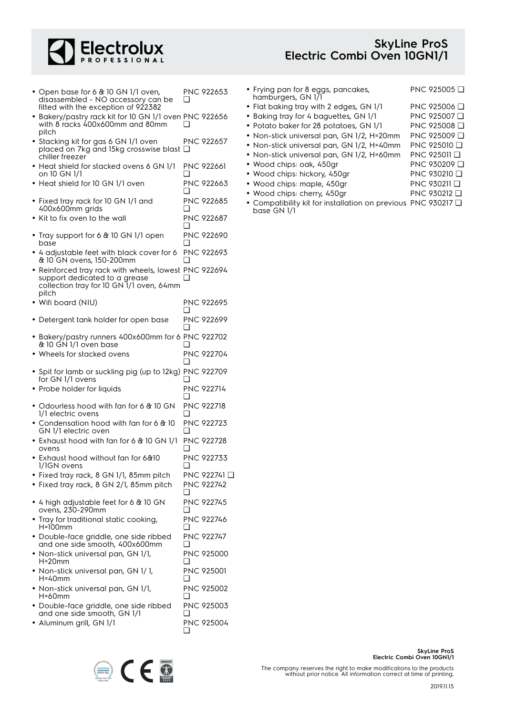

## **SkyLine ProS Electric Combi Oven 10GN1/1**

- Open base for 6 & 10 GN 1/1 oven, disassembled - NO accessory can be fitted with the exception of 922382 PNC 922653  $\Box$
- Bakery/pastry rack kit for 10 GN 1/1 oven PNC 922656 with 8 racks 400x600mm and 80mm pitch ❑
- Stacking kit for gas 6 GN 1/1 oven placed on 7kg and 15kg crosswise blast ❑ chiller freezer PNC 922657
- Heat shield for stacked ovens 6 GN 1/1 on 10 GN 1/1 PNC 922661 ❑
- Heat shield for 10 GN 1/1 oven PNC 922663 ❑
- Fixed tray rack for 10 GN 1/1 and 400x600mm grids PNC 922685  $\Box$
- Kit to fix oven to the wall **PNC 922687**  $\Box$
- Tray support for 6 & 10 GN 1/1 open base PNC 922690  $\Box$
- 4 adjustable feet with black cover for 6 & 10 GN ovens, 150-200mm PNC 922693  $\Box$
- Reinforced tray rack with wheels, lowest PNC 922694 support dedicated to a grease collection tray for 10 GN 1/1 oven, 64mm pitch ❑
- Wifi board (NIU) PNC 922695  $\Box$
- Detergent tank holder for open base PNC 922699 ❑
- Bakery/pastry runners 400x600mm for 6 PNC 922702 & 10 GN 1/1 oven base ❑
- Wheels for stacked ovens PNC 922704 ❑ • Spit for lamb or suckling pig (up to 12kg) for GN 1/1 ovens PNC 922709  $\Box$
- Probe holder for liquids PNC 922714 ❑
- Odourless hood with fan for 6 & 10 GN 1/1 electric ovens PNC 922718  $\Box$
- Condensation hood with fan for 6 & 10 GN 1/1 electric oven PNC 922723 ❑ • Exhaust hood with fan for 6 & 10 GN 1/1 PNC 922728
- ovens  $\Box$ • Exhaust hood without fan for 6&10 1/1GN ovens PNC 922733 ❑

PNC 922746

 $\Box$ 

- Fixed tray rack, 8 GN 1/1, 85mm pitch PNC 922741 ❑
- Fixed tray rack, 8 GN 2/1, 85mm pitch PNC 922742 ❑
- 4 high adjustable feet for 6 & 10 GN ovens, 230-290mm PNC 922745  $\Box$
- • Tray for traditional static cooking,  $H=100mm$
- Double-face griddle, one side ribbed and one side smooth, 400x600mm PNC 922747  $\Box$
- Non-stick universal pan, GN 1/1, H=20mm PNC 925000  $\Box$ • Non-stick universal pan, GN 1/ 1, PNC 925001
- H=40mm ❑ • Non-stick universal pan, GN 1/1, PNC 925002
- H=60mm  $\Box$ • Double-face griddle, one side ribbed PNC 925003
- and one side smooth, GN 1/1 ❑ • Aluminum grill, GN 1/1 PNC 925004  $\Box$
- Frying pan for 8 eggs, pancakes, hamburgers, GN 1/1 PNC 925005 ❑ • Flat baking tray with 2 edges, GN 1/1 PNC 925006 ❑ • Baking tray for 4 baguettes, GN 1/1 PNC 925007 ❑ • Potato baker for 28 potatoes, GN 1/1 PNC 925008 ❑ • Non-stick universal pan, GN 1/2, H=20mm PNC 925009 ❑ • Non-stick universal pan, GN 1/2, H=40mm PNC 925010 ❑ • Non-stick universal pan, GN 1/2, H=60mm PNC 925011 ❑ • Wood chips: oak, 450gr PNC 930209 ❑
- Wood chips: hickory, 450gr PNC 930210 ❑
- Wood chips: maple, 450gr PNC 930211 □
- Wood chips: cherry, 450gr PNC 930212 □
- Compatibility kit for installation on previous PNC 930217 ❑base GN 1/1



**SkyLine ProS**